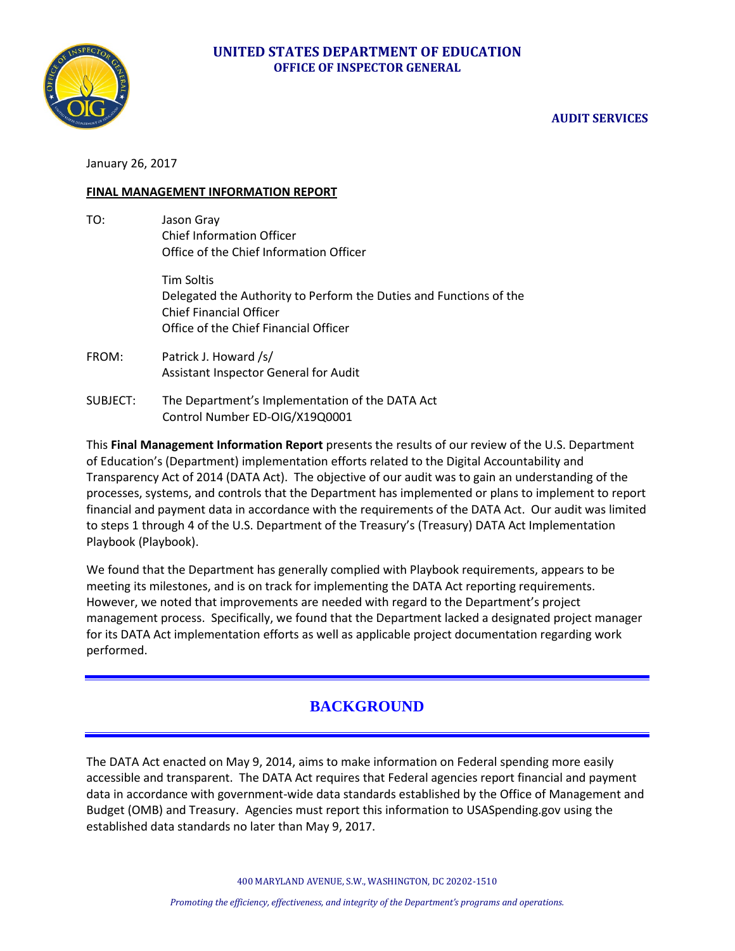

## **AUDIT SERVICES**

January 26, 2017

### **FINAL MANAGEMENT INFORMATION REPORT**

TO: Jason Gray Chief Information Officer Office of the Chief Information Officer

> Tim Soltis Delegated the Authority to Perform the Duties and Functions of the Chief Financial Officer Office of the Chief Financial Officer

- FROM: Patrick J. Howard /s/ Assistant Inspector General for Audit
- SUBJECT: The Department's Implementation of the DATA Act Control Number ED-OIG/X19Q0001

This **Final Management Information Report** presents the results of our review of the U.S. Department of Education's (Department) implementation efforts related to the Digital Accountability and Transparency Act of 2014 (DATA Act). The objective of our audit was to gain an understanding of the processes, systems, and controls that the Department has implemented or plans to implement to report financial and payment data in accordance with the requirements of the DATA Act. Our audit was limited to steps 1 through 4 of the U.S. Department of the Treasury's (Treasury) DATA Act Implementation Playbook (Playbook).

We found that the Department has generally complied with Playbook requirements, appears to be meeting its milestones, and is on track for implementing the DATA Act reporting requirements. However, we noted that improvements are needed with regard to the Department's project management process. Specifically, we found that the Department lacked a designated project manager for its DATA Act implementation efforts as well as applicable project documentation regarding work performed.

# **BACKGROUND**

The DATA Act enacted on May 9, 2014, aims to make information on Federal spending more easily accessible and transparent. The DATA Act requires that Federal agencies report financial and payment data in accordance with government-wide data standards established by the Office of Management and Budget (OMB) and Treasury. Agencies must report this information to USASpending.gov using the established data standards no later than May 9, 2017.

400 MARYLAND AVENUE, S.W., WASHINGTON, DC 20202-1510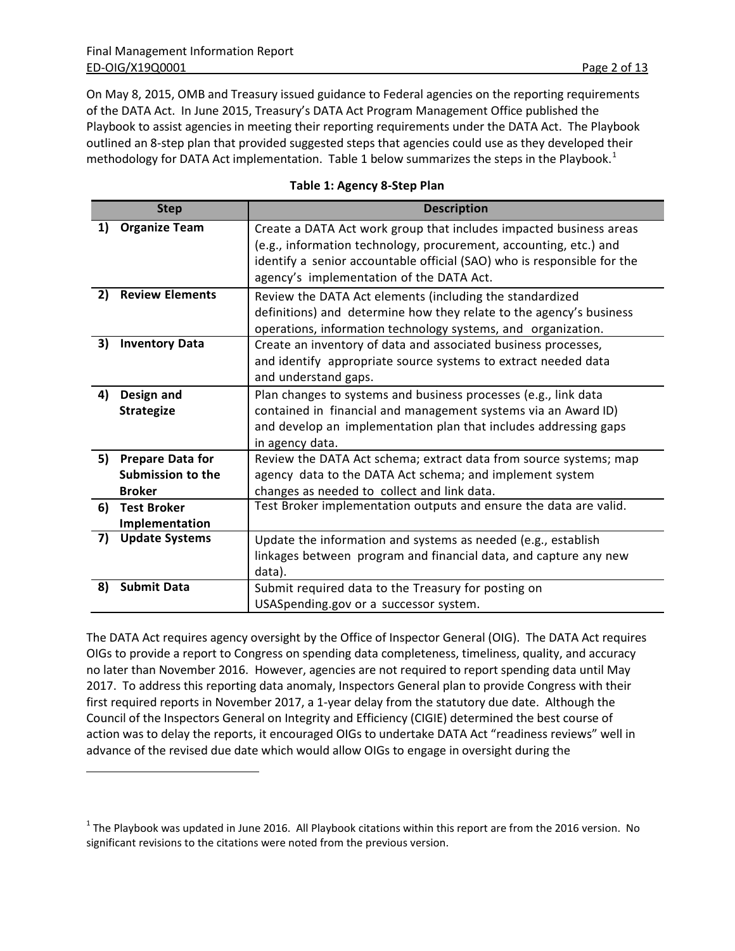$\overline{a}$ 

On May 8, 2015, OMB and Treasury issued guidance to Federal agencies on the reporting requirements of the DATA Act. In June 2015, Treasury's DATA Act Program Management Office published the Playbook to assist agencies in meeting their reporting requirements under the DATA Act. The Playbook outlined an 8-step plan that provided suggested steps that agencies could use as they developed their methodology for DATA Act implementation. Table [1](#page-1-0) below summarizes the steps in the Playbook.<sup>1</sup>

|  | Table 1: Agency 8-Step Plan |  |  |
|--|-----------------------------|--|--|
|--|-----------------------------|--|--|

|    | <b>Step</b>                                  | <b>Description</b>                                                                                                                                                                                                 |
|----|----------------------------------------------|--------------------------------------------------------------------------------------------------------------------------------------------------------------------------------------------------------------------|
| 1) | <b>Organize Team</b>                         | Create a DATA Act work group that includes impacted business areas<br>(e.g., information technology, procurement, accounting, etc.) and<br>identify a senior accountable official (SAO) who is responsible for the |
|    |                                              | agency's implementation of the DATA Act.                                                                                                                                                                           |
| 2) | <b>Review Elements</b>                       | Review the DATA Act elements (including the standardized                                                                                                                                                           |
|    |                                              | definitions) and determine how they relate to the agency's business<br>operations, information technology systems, and organization.                                                                               |
| 3) | <b>Inventory Data</b>                        | Create an inventory of data and associated business processes,                                                                                                                                                     |
|    |                                              | and identify appropriate source systems to extract needed data<br>and understand gaps.                                                                                                                             |
| 4) | Design and                                   | Plan changes to systems and business processes (e.g., link data                                                                                                                                                    |
|    | <b>Strategize</b>                            | contained in financial and management systems via an Award ID)                                                                                                                                                     |
|    |                                              | and develop an implementation plan that includes addressing gaps                                                                                                                                                   |
| 5) |                                              | in agency data.                                                                                                                                                                                                    |
|    | <b>Prepare Data for</b><br>Submission to the | Review the DATA Act schema; extract data from source systems; map<br>agency data to the DATA Act schema; and implement system                                                                                      |
|    | <b>Broker</b>                                | changes as needed to collect and link data.                                                                                                                                                                        |
| 6) | <b>Test Broker</b>                           | Test Broker implementation outputs and ensure the data are valid.                                                                                                                                                  |
|    | Implementation                               |                                                                                                                                                                                                                    |
| 7) | <b>Update Systems</b>                        | Update the information and systems as needed (e.g., establish                                                                                                                                                      |
|    |                                              | linkages between program and financial data, and capture any new                                                                                                                                                   |
|    |                                              | data).                                                                                                                                                                                                             |
| 8) | <b>Submit Data</b>                           | Submit required data to the Treasury for posting on                                                                                                                                                                |
|    |                                              | USASpending.gov or a successor system.                                                                                                                                                                             |

The DATA Act requires agency oversight by the Office of Inspector General (OIG). The DATA Act requires OIGs to provide a report to Congress on spending data completeness, timeliness, quality, and accuracy no later than November 2016. However, agencies are not required to report spending data until May 2017. To address this reporting data anomaly, Inspectors General plan to provide Congress with their first required reports in November 2017, a 1-year delay from the statutory due date. Although the Council of the Inspectors General on Integrity and Efficiency (CIGIE) determined the best course of action was to delay the reports, it encouraged OIGs to undertake DATA Act "readiness reviews" well in advance of the revised due date which would allow OIGs to engage in oversight during the

<span id="page-1-0"></span> $1$  The Playbook was updated in June 2016. All Playbook citations within this report are from the 2016 version. No significant revisions to the citations were noted from the previous version.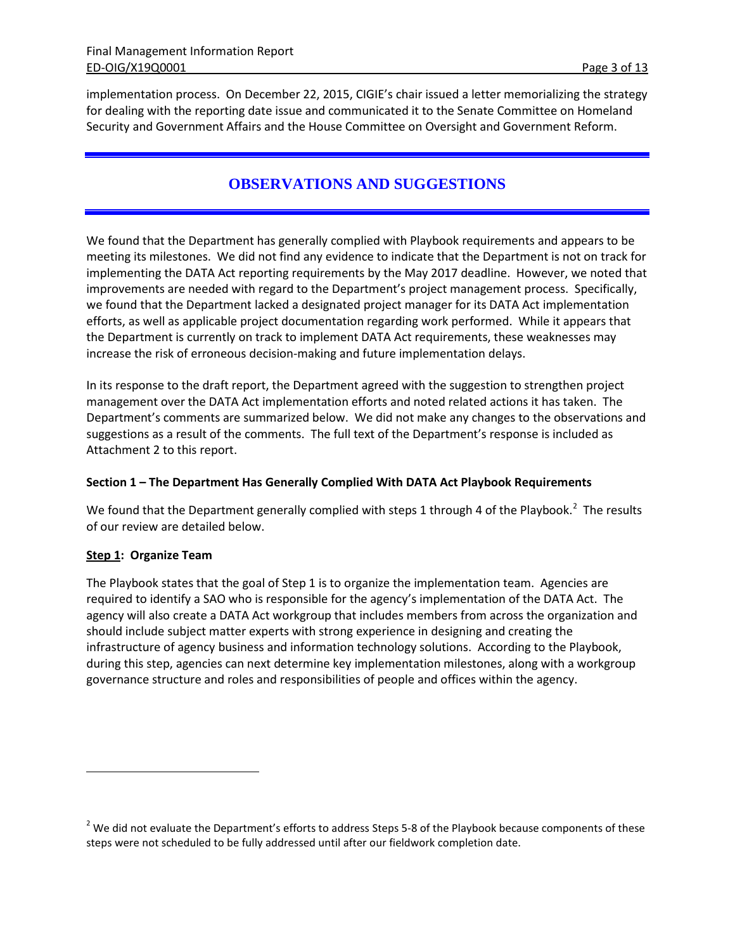implementation process. On December 22, 2015, CIGIE's chair issued a letter memorializing the strategy for dealing with the reporting date issue and communicated it to the Senate Committee on Homeland Security and Government Affairs and the House Committee on Oversight and Government Reform.

# **OBSERVATIONS AND SUGGESTIONS**

We found that the Department has generally complied with Playbook requirements and appears to be meeting its milestones. We did not find any evidence to indicate that the Department is not on track for implementing the DATA Act reporting requirements by the May 2017 deadline. However, we noted that improvements are needed with regard to the Department's project management process. Specifically, we found that the Department lacked a designated project manager for its DATA Act implementation efforts, as well as applicable project documentation regarding work performed. While it appears that the Department is currently on track to implement DATA Act requirements, these weaknesses may increase the risk of erroneous decision-making and future implementation delays.

In its response to the draft report, the Department agreed with the suggestion to strengthen project management over the DATA Act implementation efforts and noted related actions it has taken. The Department's comments are summarized below. We did not make any changes to the observations and suggestions as a result of the comments. The full text of the Department's response is included as Attachment 2 to this report.

### **Section 1 – The Department Has Generally Complied With DATA Act Playbook Requirements**

We found that the Department generally complied with steps 1 through 4 of the Playbook.<sup>[2](#page-2-0)</sup> The results of our review are detailed below.

### **Step 1: Organize Team**

 $\overline{a}$ 

The Playbook states that the goal of Step 1 is to organize the implementation team. Agencies are required to identify a SAO who is responsible for the agency's implementation of the DATA Act. The agency will also create a DATA Act workgroup that includes members from across the organization and should include subject matter experts with strong experience in designing and creating the infrastructure of agency business and information technology solutions. According to the Playbook, during this step, agencies can next determine key implementation milestones, along with a workgroup governance structure and roles and responsibilities of people and offices within the agency.

<span id="page-2-0"></span> $2$  We did not evaluate the Department's efforts to address Steps 5-8 of the Playbook because components of these steps were not scheduled to be fully addressed until after our fieldwork completion date.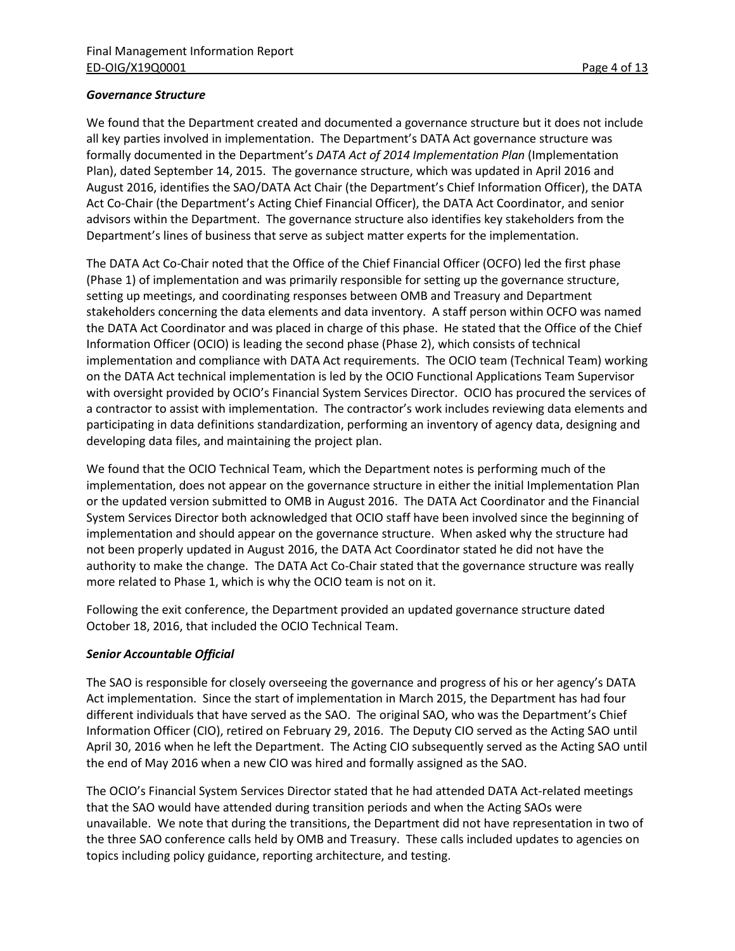#### *Governance Structure*

We found that the Department created and documented a governance structure but it does not include all key parties involved in implementation. The Department's DATA Act governance structure was formally documented in the Department's *DATA Act of 2014 Implementation Plan* (Implementation Plan), dated September 14, 2015. The governance structure, which was updated in April 2016 and August 2016, identifies the SAO/DATA Act Chair (the Department's Chief Information Officer), the DATA Act Co-Chair (the Department's Acting Chief Financial Officer), the DATA Act Coordinator, and senior advisors within the Department. The governance structure also identifies key stakeholders from the Department's lines of business that serve as subject matter experts for the implementation.

The DATA Act Co-Chair noted that the Office of the Chief Financial Officer (OCFO) led the first phase (Phase 1) of implementation and was primarily responsible for setting up the governance structure, setting up meetings, and coordinating responses between OMB and Treasury and Department stakeholders concerning the data elements and data inventory. A staff person within OCFO was named the DATA Act Coordinator and was placed in charge of this phase. He stated that the Office of the Chief Information Officer (OCIO) is leading the second phase (Phase 2), which consists of technical implementation and compliance with DATA Act requirements. The OCIO team (Technical Team) working on the DATA Act technical implementation is led by the OCIO Functional Applications Team Supervisor with oversight provided by OCIO's Financial System Services Director. OCIO has procured the services of a contractor to assist with implementation. The contractor's work includes reviewing data elements and participating in data definitions standardization, performing an inventory of agency data, designing and developing data files, and maintaining the project plan.

We found that the OCIO Technical Team, which the Department notes is performing much of the implementation, does not appear on the governance structure in either the initial Implementation Plan or the updated version submitted to OMB in August 2016. The DATA Act Coordinator and the Financial System Services Director both acknowledged that OCIO staff have been involved since the beginning of implementation and should appear on the governance structure. When asked why the structure had not been properly updated in August 2016, the DATA Act Coordinator stated he did not have the authority to make the change. The DATA Act Co-Chair stated that the governance structure was really more related to Phase 1, which is why the OCIO team is not on it.

Following the exit conference, the Department provided an updated governance structure dated October 18, 2016, that included the OCIO Technical Team.

### *Senior Accountable Official*

The SAO is responsible for closely overseeing the governance and progress of his or her agency's DATA Act implementation. Since the start of implementation in March 2015, the Department has had four different individuals that have served as the SAO. The original SAO, who was the Department's Chief Information Officer (CIO), retired on February 29, 2016. The Deputy CIO served as the Acting SAO until April 30, 2016 when he left the Department. The Acting CIO subsequently served as the Acting SAO until the end of May 2016 when a new CIO was hired and formally assigned as the SAO.

The OCIO's Financial System Services Director stated that he had attended DATA Act-related meetings that the SAO would have attended during transition periods and when the Acting SAOs were unavailable. We note that during the transitions, the Department did not have representation in two of the three SAO conference calls held by OMB and Treasury. These calls included updates to agencies on topics including policy guidance, reporting architecture, and testing.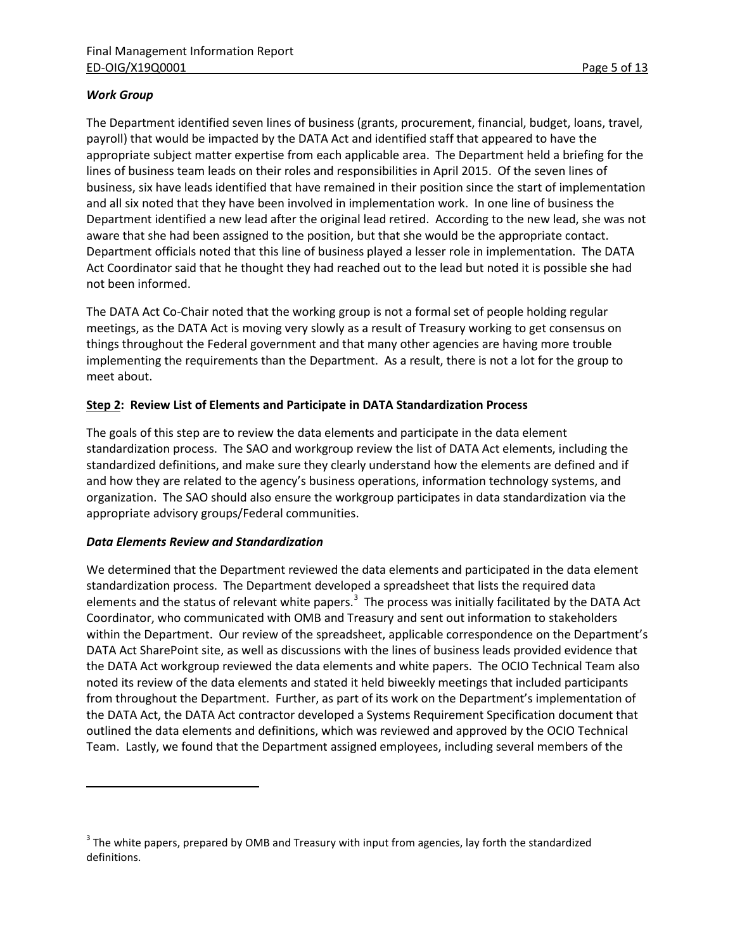### *Work Group*

The Department identified seven lines of business (grants, procurement, financial, budget, loans, travel, payroll) that would be impacted by the DATA Act and identified staff that appeared to have the appropriate subject matter expertise from each applicable area. The Department held a briefing for the lines of business team leads on their roles and responsibilities in April 2015. Of the seven lines of business, six have leads identified that have remained in their position since the start of implementation and all six noted that they have been involved in implementation work. In one line of business the Department identified a new lead after the original lead retired. According to the new lead, she was not aware that she had been assigned to the position, but that she would be the appropriate contact. Department officials noted that this line of business played a lesser role in implementation. The DATA Act Coordinator said that he thought they had reached out to the lead but noted it is possible she had not been informed.

The DATA Act Co-Chair noted that the working group is not a formal set of people holding regular meetings, as the DATA Act is moving very slowly as a result of Treasury working to get consensus on things throughout the Federal government and that many other agencies are having more trouble implementing the requirements than the Department. As a result, there is not a lot for the group to meet about.

### **Step 2: Review List of Elements and Participate in DATA Standardization Process**

The goals of this step are to review the data elements and participate in the data element standardization process. The SAO and workgroup review the list of DATA Act elements, including the standardized definitions, and make sure they clearly understand how the elements are defined and if and how they are related to the agency's business operations, information technology systems, and organization. The SAO should also ensure the workgroup participates in data standardization via the appropriate advisory groups/Federal communities.

### *Data Elements Review and Standardization*

 $\overline{a}$ 

We determined that the Department reviewed the data elements and participated in the data element standardization process. The Department developed a spreadsheet that lists the required data elements and the status of relevant white papers.<sup>[3](#page-4-0)</sup> The process was initially facilitated by the DATA Act Coordinator, who communicated with OMB and Treasury and sent out information to stakeholders within the Department. Our review of the spreadsheet, applicable correspondence on the Department's DATA Act SharePoint site, as well as discussions with the lines of business leads provided evidence that the DATA Act workgroup reviewed the data elements and white papers. The OCIO Technical Team also noted its review of the data elements and stated it held biweekly meetings that included participants from throughout the Department. Further, as part of its work on the Department's implementation of the DATA Act, the DATA Act contractor developed a Systems Requirement Specification document that outlined the data elements and definitions, which was reviewed and approved by the OCIO Technical Team. Lastly, we found that the Department assigned employees, including several members of the

<span id="page-4-0"></span> $3$  The white papers, prepared by OMB and Treasury with input from agencies, lay forth the standardized definitions.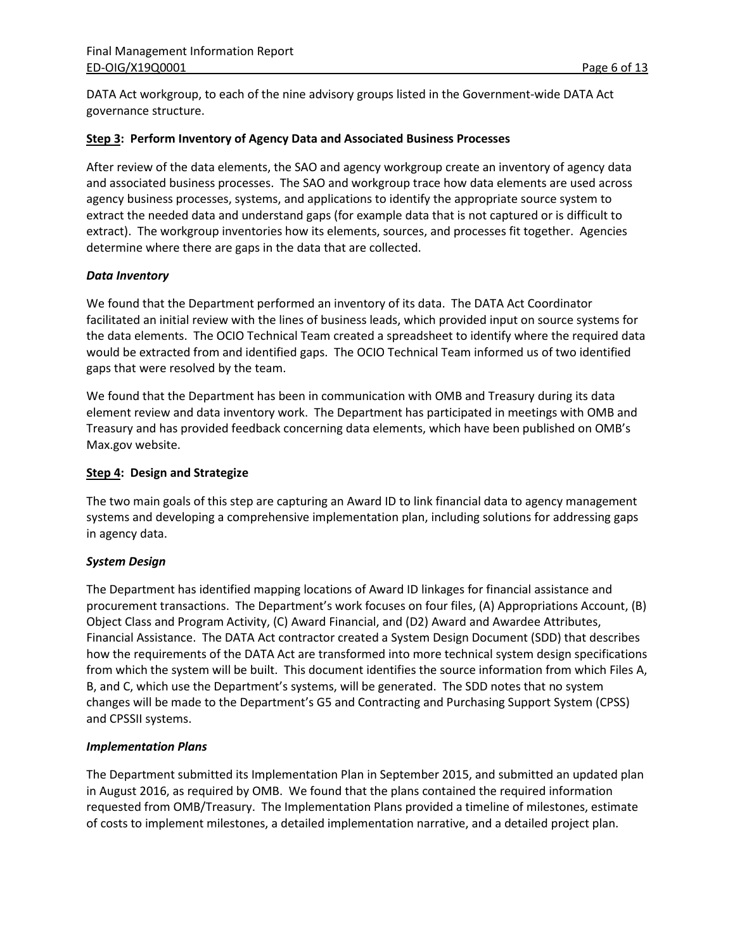DATA Act workgroup, to each of the nine advisory groups listed in the Government-wide DATA Act governance structure.

#### **Step 3: Perform Inventory of Agency Data and Associated Business Processes**

After review of the data elements, the SAO and agency workgroup create an inventory of agency data and associated business processes. The SAO and workgroup trace how data elements are used across agency business processes, systems, and applications to identify the appropriate source system to extract the needed data and understand gaps (for example data that is not captured or is difficult to extract). The workgroup inventories how its elements, sources, and processes fit together. Agencies determine where there are gaps in the data that are collected.

#### *Data Inventory*

We found that the Department performed an inventory of its data. The DATA Act Coordinator facilitated an initial review with the lines of business leads, which provided input on source systems for the data elements. The OCIO Technical Team created a spreadsheet to identify where the required data would be extracted from and identified gaps. The OCIO Technical Team informed us of two identified gaps that were resolved by the team.

We found that the Department has been in communication with OMB and Treasury during its data element review and data inventory work. The Department has participated in meetings with OMB and Treasury and has provided feedback concerning data elements, which have been published on OMB's Max.gov website.

#### **Step 4: Design and Strategize**

The two main goals of this step are capturing an Award ID to link financial data to agency management systems and developing a comprehensive implementation plan, including solutions for addressing gaps in agency data.

### *System Design*

The Department has identified mapping locations of Award ID linkages for financial assistance and procurement transactions. The Department's work focuses on four files, (A) Appropriations Account, (B) Object Class and Program Activity, (C) Award Financial, and (D2) Award and Awardee Attributes, Financial Assistance. The DATA Act contractor created a System Design Document (SDD) that describes how the requirements of the DATA Act are transformed into more technical system design specifications from which the system will be built. This document identifies the source information from which Files A, B, and C, which use the Department's systems, will be generated. The SDD notes that no system changes will be made to the Department's G5 and Contracting and Purchasing Support System (CPSS) and CPSSII systems.

#### *Implementation Plans*

The Department submitted its Implementation Plan in September 2015, and submitted an updated plan in August 2016, as required by OMB. We found that the plans contained the required information requested from OMB/Treasury. The Implementation Plans provided a timeline of milestones, estimate of costs to implement milestones, a detailed implementation narrative, and a detailed project plan.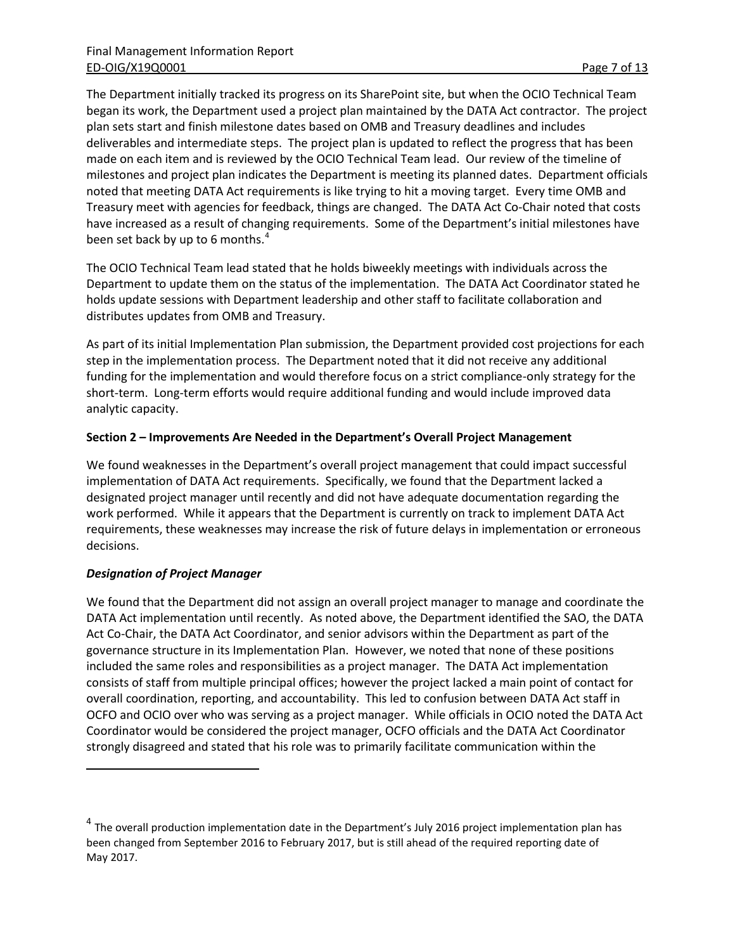The Department initially tracked its progress on its SharePoint site, but when the OCIO Technical Team began its work, the Department used a project plan maintained by the DATA Act contractor. The project plan sets start and finish milestone dates based on OMB and Treasury deadlines and includes deliverables and intermediate steps. The project plan is updated to reflect the progress that has been made on each item and is reviewed by the OCIO Technical Team lead. Our review of the timeline of milestones and project plan indicates the Department is meeting its planned dates. Department officials noted that meeting DATA Act requirements is like trying to hit a moving target. Every time OMB and Treasury meet with agencies for feedback, things are changed. The DATA Act Co-Chair noted that costs have increased as a result of changing requirements. Some of the Department's initial milestones have been set back by up to 6 months.<sup>[4](#page-6-0)</sup>

The OCIO Technical Team lead stated that he holds biweekly meetings with individuals across the Department to update them on the status of the implementation. The DATA Act Coordinator stated he holds update sessions with Department leadership and other staff to facilitate collaboration and distributes updates from OMB and Treasury.

As part of its initial Implementation Plan submission, the Department provided cost projections for each step in the implementation process. The Department noted that it did not receive any additional funding for the implementation and would therefore focus on a strict compliance-only strategy for the short-term. Long-term efforts would require additional funding and would include improved data analytic capacity.

#### **Section 2 – Improvements Are Needed in the Department's Overall Project Management**

We found weaknesses in the Department's overall project management that could impact successful implementation of DATA Act requirements. Specifically, we found that the Department lacked a designated project manager until recently and did not have adequate documentation regarding the work performed. While it appears that the Department is currently on track to implement DATA Act requirements, these weaknesses may increase the risk of future delays in implementation or erroneous decisions.

### *Designation of Project Manager*

 $\overline{a}$ 

We found that the Department did not assign an overall project manager to manage and coordinate the DATA Act implementation until recently. As noted above, the Department identified the SAO, the DATA Act Co-Chair, the DATA Act Coordinator, and senior advisors within the Department as part of the governance structure in its Implementation Plan. However, we noted that none of these positions included the same roles and responsibilities as a project manager. The DATA Act implementation consists of staff from multiple principal offices; however the project lacked a main point of contact for overall coordination, reporting, and accountability. This led to confusion between DATA Act staff in OCFO and OCIO over who was serving as a project manager. While officials in OCIO noted the DATA Act Coordinator would be considered the project manager, OCFO officials and the DATA Act Coordinator strongly disagreed and stated that his role was to primarily facilitate communication within the

<span id="page-6-0"></span> $4$  The overall production implementation date in the Department's July 2016 project implementation plan has been changed from September 2016 to February 2017, but is still ahead of the required reporting date of May 2017.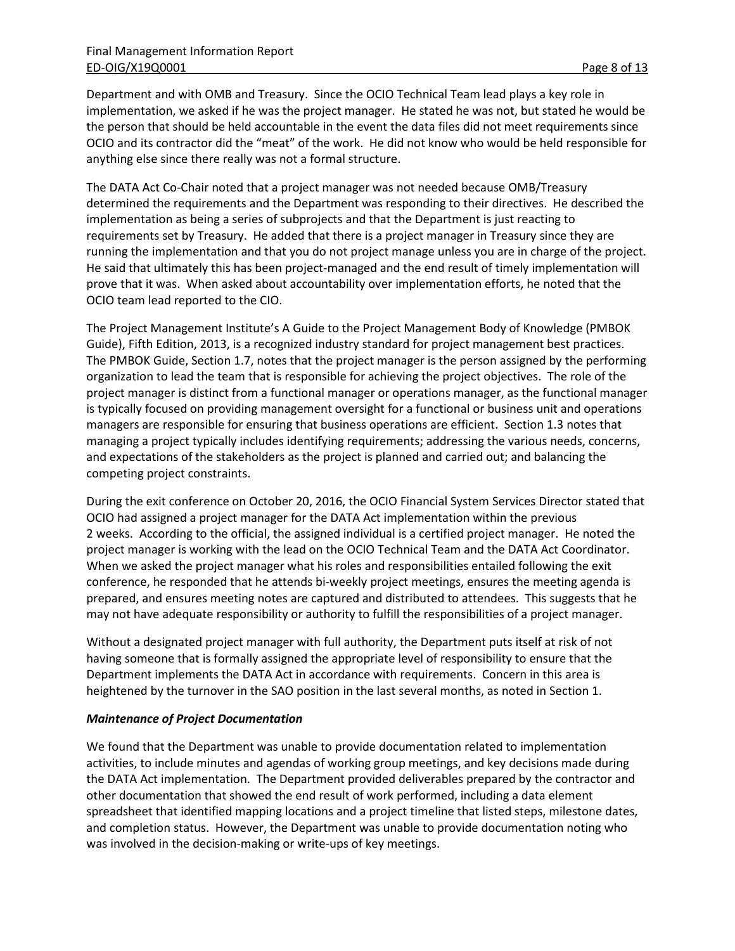Department and with OMB and Treasury. Since the OCIO Technical Team lead plays a key role in implementation, we asked if he was the project manager. He stated he was not, but stated he would be the person that should be held accountable in the event the data files did not meet requirements since OCIO and its contractor did the "meat" of the work. He did not know who would be held responsible for anything else since there really was not a formal structure.

The DATA Act Co-Chair noted that a project manager was not needed because OMB/Treasury determined the requirements and the Department was responding to their directives. He described the implementation as being a series of subprojects and that the Department is just reacting to requirements set by Treasury. He added that there is a project manager in Treasury since they are running the implementation and that you do not project manage unless you are in charge of the project. He said that ultimately this has been project-managed and the end result of timely implementation will prove that it was. When asked about accountability over implementation efforts, he noted that the OCIO team lead reported to the CIO.

The Project Management Institute's A Guide to the Project Management Body of Knowledge (PMBOK Guide), Fifth Edition, 2013, is a recognized industry standard for project management best practices. The PMBOK Guide, Section 1.7, notes that the project manager is the person assigned by the performing organization to lead the team that is responsible for achieving the project objectives. The role of the project manager is distinct from a functional manager or operations manager, as the functional manager is typically focused on providing management oversight for a functional or business unit and operations managers are responsible for ensuring that business operations are efficient. Section 1.3 notes that managing a project typically includes identifying requirements; addressing the various needs, concerns, and expectations of the stakeholders as the project is planned and carried out; and balancing the competing project constraints.

During the exit conference on October 20, 2016, the OCIO Financial System Services Director stated that OCIO had assigned a project manager for the DATA Act implementation within the previous 2 weeks. According to the official, the assigned individual is a certified project manager. He noted the project manager is working with the lead on the OCIO Technical Team and the DATA Act Coordinator. When we asked the project manager what his roles and responsibilities entailed following the exit conference, he responded that he attends bi-weekly project meetings, ensures the meeting agenda is prepared, and ensures meeting notes are captured and distributed to attendees. This suggests that he may not have adequate responsibility or authority to fulfill the responsibilities of a project manager.

Without a designated project manager with full authority, the Department puts itself at risk of not having someone that is formally assigned the appropriate level of responsibility to ensure that the Department implements the DATA Act in accordance with requirements. Concern in this area is heightened by the turnover in the SAO position in the last several months, as noted in Section 1.

#### *Maintenance of Project Documentation*

We found that the Department was unable to provide documentation related to implementation activities, to include minutes and agendas of working group meetings, and key decisions made during the DATA Act implementation. The Department provided deliverables prepared by the contractor and other documentation that showed the end result of work performed, including a data element spreadsheet that identified mapping locations and a project timeline that listed steps, milestone dates, and completion status. However, the Department was unable to provide documentation noting who was involved in the decision-making or write-ups of key meetings.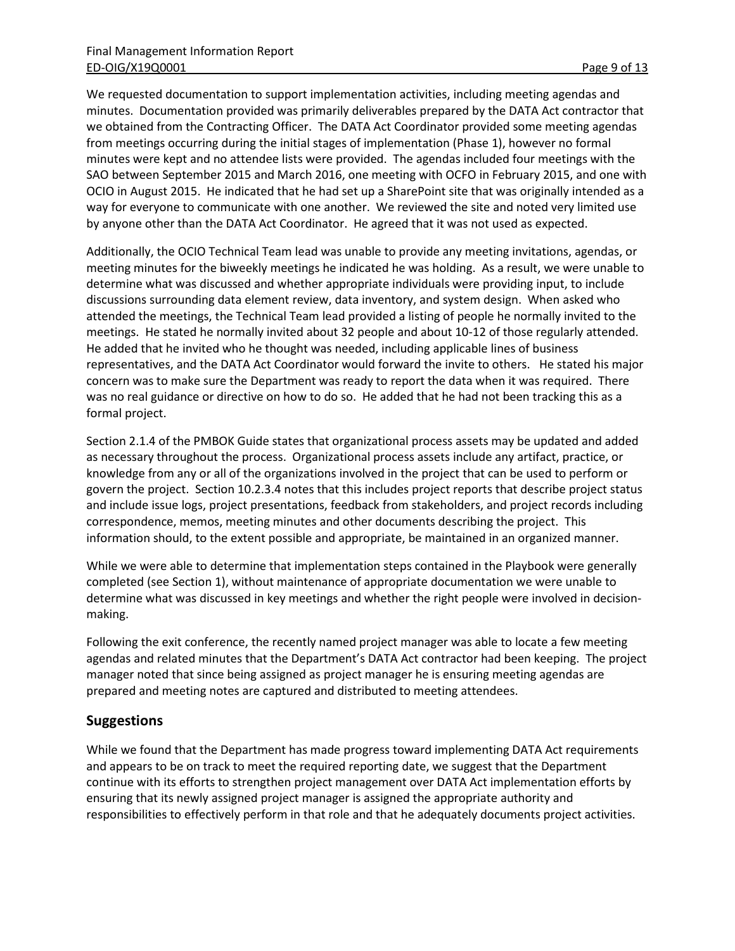We requested documentation to support implementation activities, including meeting agendas and minutes. Documentation provided was primarily deliverables prepared by the DATA Act contractor that we obtained from the Contracting Officer. The DATA Act Coordinator provided some meeting agendas from meetings occurring during the initial stages of implementation (Phase 1), however no formal minutes were kept and no attendee lists were provided. The agendas included four meetings with the SAO between September 2015 and March 2016, one meeting with OCFO in February 2015, and one with OCIO in August 2015. He indicated that he had set up a SharePoint site that was originally intended as a way for everyone to communicate with one another. We reviewed the site and noted very limited use by anyone other than the DATA Act Coordinator. He agreed that it was not used as expected.

Additionally, the OCIO Technical Team lead was unable to provide any meeting invitations, agendas, or meeting minutes for the biweekly meetings he indicated he was holding. As a result, we were unable to determine what was discussed and whether appropriate individuals were providing input, to include discussions surrounding data element review, data inventory, and system design. When asked who attended the meetings, the Technical Team lead provided a listing of people he normally invited to the meetings. He stated he normally invited about 32 people and about 10-12 of those regularly attended. He added that he invited who he thought was needed, including applicable lines of business representatives, and the DATA Act Coordinator would forward the invite to others. He stated his major concern was to make sure the Department was ready to report the data when it was required. There was no real guidance or directive on how to do so. He added that he had not been tracking this as a formal project.

Section 2.1.4 of the PMBOK Guide states that organizational process assets may be updated and added as necessary throughout the process. Organizational process assets include any artifact, practice, or knowledge from any or all of the organizations involved in the project that can be used to perform or govern the project. Section 10.2.3.4 notes that this includes project reports that describe project status and include issue logs, project presentations, feedback from stakeholders, and project records including correspondence, memos, meeting minutes and other documents describing the project. This information should, to the extent possible and appropriate, be maintained in an organized manner.

While we were able to determine that implementation steps contained in the Playbook were generally completed (see Section 1), without maintenance of appropriate documentation we were unable to determine what was discussed in key meetings and whether the right people were involved in decisionmaking.

Following the exit conference, the recently named project manager was able to locate a few meeting agendas and related minutes that the Department's DATA Act contractor had been keeping. The project manager noted that since being assigned as project manager he is ensuring meeting agendas are prepared and meeting notes are captured and distributed to meeting attendees.

## **Suggestions**

While we found that the Department has made progress toward implementing DATA Act requirements and appears to be on track to meet the required reporting date, we suggest that the Department continue with its efforts to strengthen project management over DATA Act implementation efforts by ensuring that its newly assigned project manager is assigned the appropriate authority and responsibilities to effectively perform in that role and that he adequately documents project activities.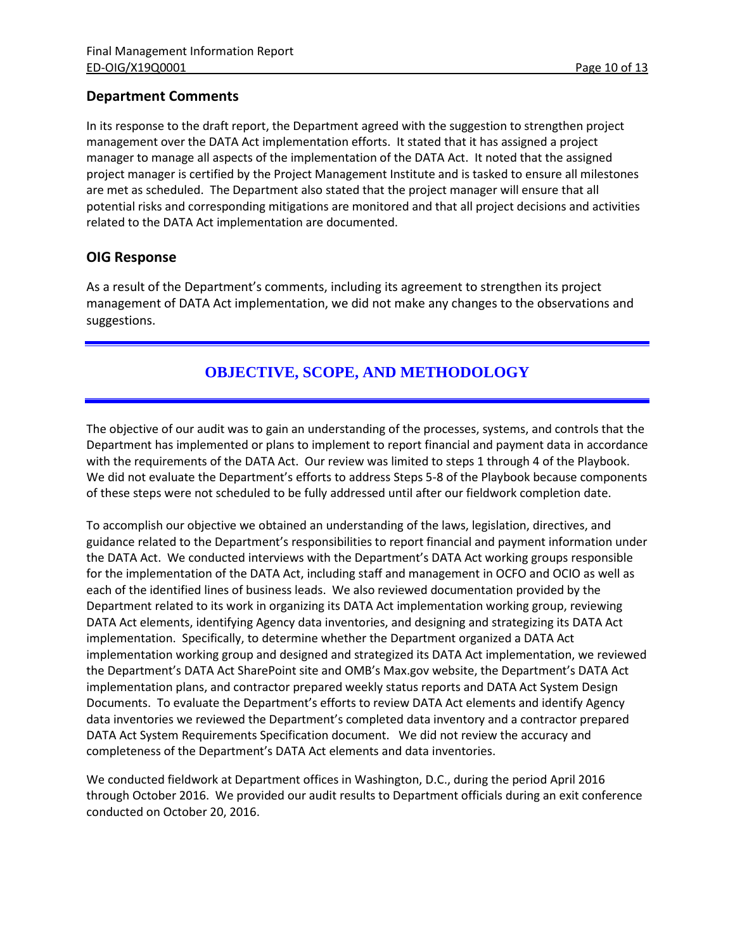## **Department Comments**

In its response to the draft report, the Department agreed with the suggestion to strengthen project management over the DATA Act implementation efforts. It stated that it has assigned a project manager to manage all aspects of the implementation of the DATA Act. It noted that the assigned project manager is certified by the Project Management Institute and is tasked to ensure all milestones are met as scheduled. The Department also stated that the project manager will ensure that all potential risks and corresponding mitigations are monitored and that all project decisions and activities related to the DATA Act implementation are documented.

## **OIG Response**

As a result of the Department's comments, including its agreement to strengthen its project management of DATA Act implementation, we did not make any changes to the observations and suggestions.

# **OBJECTIVE, SCOPE, AND METHODOLOGY**

The objective of our audit was to gain an understanding of the processes, systems, and controls that the Department has implemented or plans to implement to report financial and payment data in accordance with the requirements of the DATA Act. Our review was limited to steps 1 through 4 of the Playbook. We did not evaluate the Department's efforts to address Steps 5-8 of the Playbook because components of these steps were not scheduled to be fully addressed until after our fieldwork completion date.

To accomplish our objective we obtained an understanding of the laws, legislation, directives, and guidance related to the Department's responsibilities to report financial and payment information under the DATA Act. We conducted interviews with the Department's DATA Act working groups responsible for the implementation of the DATA Act, including staff and management in OCFO and OCIO as well as each of the identified lines of business leads. We also reviewed documentation provided by the Department related to its work in organizing its DATA Act implementation working group, reviewing DATA Act elements, identifying Agency data inventories, and designing and strategizing its DATA Act implementation. Specifically, to determine whether the Department organized a DATA Act implementation working group and designed and strategized its DATA Act implementation, we reviewed the Department's DATA Act SharePoint site and OMB's Max.gov website, the Department's DATA Act implementation plans, and contractor prepared weekly status reports and DATA Act System Design Documents. To evaluate the Department's efforts to review DATA Act elements and identify Agency data inventories we reviewed the Department's completed data inventory and a contractor prepared DATA Act System Requirements Specification document. We did not review the accuracy and completeness of the Department's DATA Act elements and data inventories.

We conducted fieldwork at Department offices in Washington, D.C., during the period April 2016 through October 2016. We provided our audit results to Department officials during an exit conference conducted on October 20, 2016.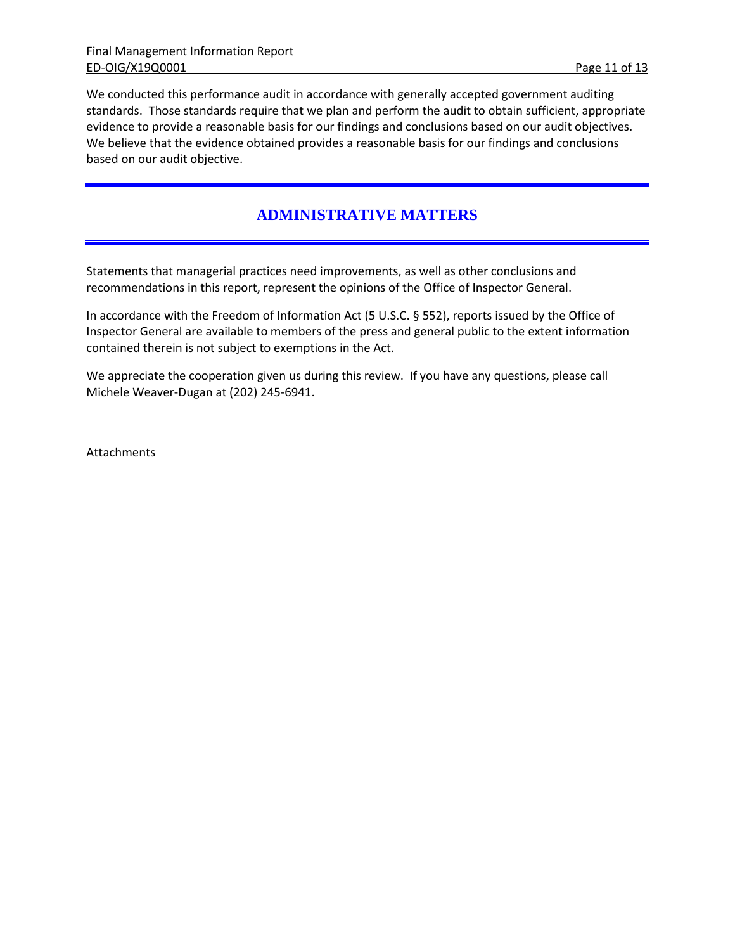We conducted this performance audit in accordance with generally accepted government auditing standards. Those standards require that we plan and perform the audit to obtain sufficient, appropriate evidence to provide a reasonable basis for our findings and conclusions based on our audit objectives. We believe that the evidence obtained provides a reasonable basis for our findings and conclusions based on our audit objective.

## **ADMINISTRATIVE MATTERS**

Statements that managerial practices need improvements, as well as other conclusions and recommendations in this report, represent the opinions of the Office of Inspector General.

In accordance with the Freedom of Information Act (5 U.S.C. § 552), reports issued by the Office of Inspector General are available to members of the press and general public to the extent information contained therein is not subject to exemptions in the Act.

We appreciate the cooperation given us during this review. If you have any questions, please call Michele Weaver-Dugan at (202) 245-6941.

Attachments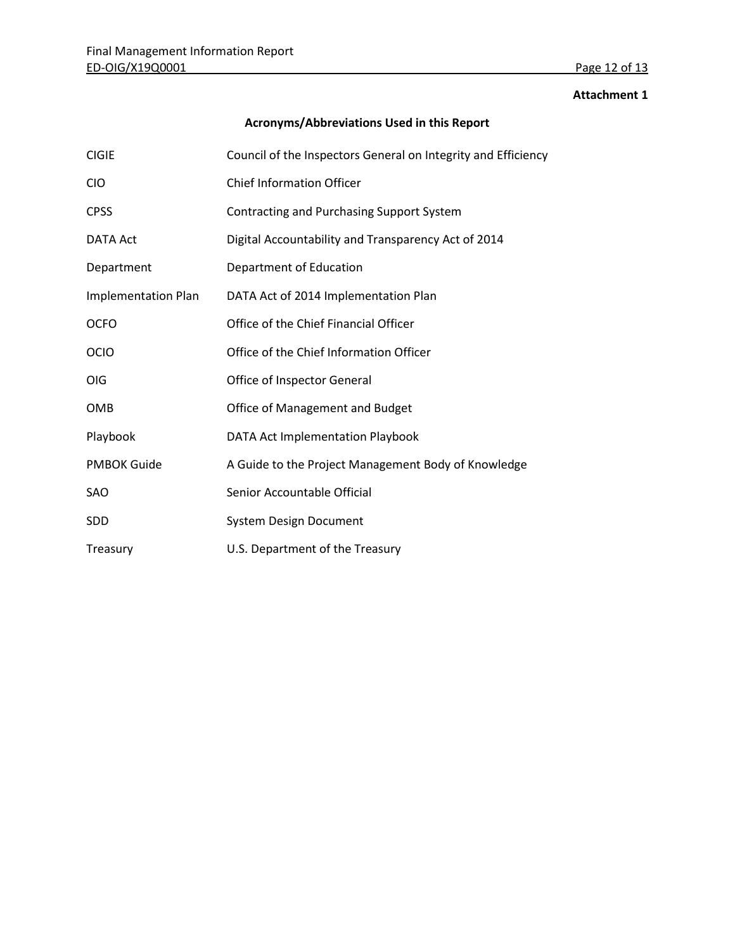#### **Attachment 1**

# **Acronyms/Abbreviations Used in this Report**

| <b>CIGIE</b>               | Council of the Inspectors General on Integrity and Efficiency |  |
|----------------------------|---------------------------------------------------------------|--|
| <b>CIO</b>                 | <b>Chief Information Officer</b>                              |  |
| <b>CPSS</b>                | Contracting and Purchasing Support System                     |  |
| <b>DATA Act</b>            | Digital Accountability and Transparency Act of 2014           |  |
| Department                 | Department of Education                                       |  |
| <b>Implementation Plan</b> | DATA Act of 2014 Implementation Plan                          |  |
| <b>OCFO</b>                | Office of the Chief Financial Officer                         |  |
| <b>OCIO</b>                | Office of the Chief Information Officer                       |  |
| <b>OIG</b>                 | Office of Inspector General                                   |  |
| OMB                        | Office of Management and Budget                               |  |
| Playbook                   | DATA Act Implementation Playbook                              |  |
| <b>PMBOK Guide</b>         | A Guide to the Project Management Body of Knowledge           |  |
| <b>SAO</b>                 | Senior Accountable Official                                   |  |
| <b>SDD</b>                 | <b>System Design Document</b>                                 |  |
| Treasury                   | U.S. Department of the Treasury                               |  |